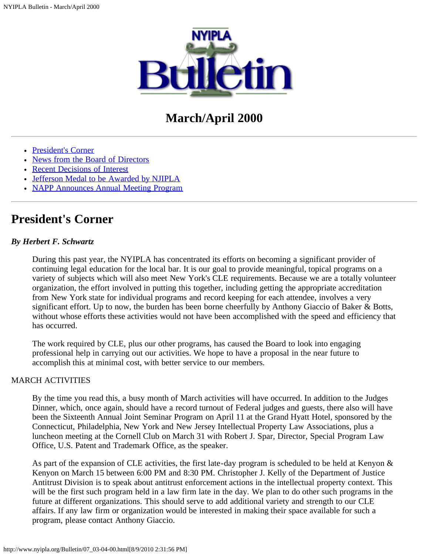

# **March/April 2000**

- [President's Corner](#page-0-0)
- [News from the Board of Directors](#page-1-0)
- [Recent Decisions of Interest](#page-2-0)
- [Jefferson Medal to be Awarded by NJIPLA](#page-6-0)
- [NAPP Announces Annual Meeting Program](#page-6-1)

## <span id="page-0-0"></span>**President's Corner**

## *By Herbert F. Schwartz*

During this past year, the NYIPLA has concentrated its efforts on becoming a significant provider of continuing legal education for the local bar. It is our goal to provide meaningful, topical programs on a variety of subjects which will also meet New York's CLE requirements. Because we are a totally volunteer organization, the effort involved in putting this together, including getting the appropriate accreditation from New York state for individual programs and record keeping for each attendee, involves a very significant effort. Up to now, the burden has been borne cheerfully by Anthony Giaccio of Baker & Botts, without whose efforts these activities would not have been accomplished with the speed and efficiency that has occurred.

The work required by CLE, plus our other programs, has caused the Board to look into engaging professional help in carrying out our activities. We hope to have a proposal in the near future to accomplish this at minimal cost, with better service to our members.

### MARCH ACTIVITIES

By the time you read this, a busy month of March activities will have occurred. In addition to the Judges Dinner, which, once again, should have a record turnout of Federal judges and guests, there also will have been the Sixteenth Annual Joint Seminar Program on April 11 at the Grand Hyatt Hotel, sponsored by the Connecticut, Philadelphia, New York and New Jersey Intellectual Property Law Associations, plus a luncheon meeting at the Cornell Club on March 31 with Robert J. Spar, Director, Special Program Law Office, U.S. Patent and Trademark Office, as the speaker.

As part of the expansion of CLE activities, the first late-day program is scheduled to be held at Kenyon & Kenyon on March 15 between 6:00 PM and 8:30 PM. Christopher J. Kelly of the Department of Justice Antitrust Division is to speak about antitrust enforcement actions in the intellectual property context. This will be the first such program held in a law firm late in the day. We plan to do other such programs in the future at different organizations. This should serve to add additional variety and strength to our CLE affairs. If any law firm or organization would be interested in making their space available for such a program, please contact Anthony Giaccio.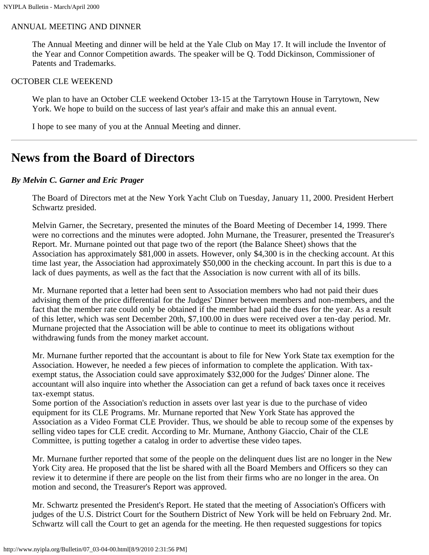### ANNUAL MEETING AND DINNER

The Annual Meeting and dinner will be held at the Yale Club on May 17. It will include the Inventor of the Year and Connor Competition awards. The speaker will be Q. Todd Dickinson, Commissioner of Patents and Trademarks.

#### OCTOBER CLE WEEKEND

We plan to have an October CLE weekend October 13-15 at the Tarrytown House in Tarrytown, New York. We hope to build on the success of last year's affair and make this an annual event.

I hope to see many of you at the Annual Meeting and dinner.

## <span id="page-1-0"></span>**News from the Board of Directors**

#### *By Melvin C. Garner and Eric Prager*

The Board of Directors met at the New York Yacht Club on Tuesday, January 11, 2000. President Herbert Schwartz presided.

Melvin Garner, the Secretary, presented the minutes of the Board Meeting of December 14, 1999. There were no corrections and the minutes were adopted. John Murnane, the Treasurer, presented the Treasurer's Report. Mr. Murnane pointed out that page two of the report (the Balance Sheet) shows that the Association has approximately \$81,000 in assets. However, only \$4,300 is in the checking account. At this time last year, the Association had approximately \$50,000 in the checking account. In part this is due to a lack of dues payments, as well as the fact that the Association is now current with all of its bills.

Mr. Murnane reported that a letter had been sent to Association members who had not paid their dues advising them of the price differential for the Judges' Dinner between members and non-members, and the fact that the member rate could only be obtained if the member had paid the dues for the year. As a result of this letter, which was sent December 20th, \$7,100.00 in dues were received over a ten-day period. Mr. Murnane projected that the Association will be able to continue to meet its obligations without withdrawing funds from the money market account.

Mr. Murnane further reported that the accountant is about to file for New York State tax exemption for the Association. However, he needed a few pieces of information to complete the application. With taxexempt status, the Association could save approximately \$32,000 for the Judges' Dinner alone. The accountant will also inquire into whether the Association can get a refund of back taxes once it receives tax-exempt status.

Some portion of the Association's reduction in assets over last year is due to the purchase of video equipment for its CLE Programs. Mr. Murnane reported that New York State has approved the Association as a Video Format CLE Provider. Thus, we should be able to recoup some of the expenses by selling video tapes for CLE credit. According to Mr. Murnane, Anthony Giaccio, Chair of the CLE Committee, is putting together a catalog in order to advertise these video tapes.

Mr. Murnane further reported that some of the people on the delinquent dues list are no longer in the New York City area. He proposed that the list be shared with all the Board Members and Officers so they can review it to determine if there are people on the list from their firms who are no longer in the area. On motion and second, the Treasurer's Report was approved.

Mr. Schwartz presented the President's Report. He stated that the meeting of Association's Officers with judges of the U.S. District Court for the Southern District of New York will be held on February 2nd. Mr. Schwartz will call the Court to get an agenda for the meeting. He then requested suggestions for topics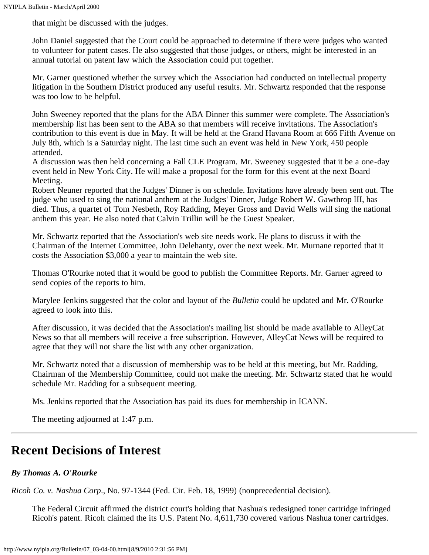that might be discussed with the judges.

John Daniel suggested that the Court could be approached to determine if there were judges who wanted to volunteer for patent cases. He also suggested that those judges, or others, might be interested in an annual tutorial on patent law which the Association could put together.

Mr. Garner questioned whether the survey which the Association had conducted on intellectual property litigation in the Southern District produced any useful results. Mr. Schwartz responded that the response was too low to be helpful.

John Sweeney reported that the plans for the ABA Dinner this summer were complete. The Association's membership list has been sent to the ABA so that members will receive invitations. The Association's contribution to this event is due in May. It will be held at the Grand Havana Room at 666 Fifth Avenue on July 8th, which is a Saturday night. The last time such an event was held in New York, 450 people attended.

A discussion was then held concerning a Fall CLE Program. Mr. Sweeney suggested that it be a one-day event held in New York City. He will make a proposal for the form for this event at the next Board Meeting.

Robert Neuner reported that the Judges' Dinner is on schedule. Invitations have already been sent out. The judge who used to sing the national anthem at the Judges' Dinner, Judge Robert W. Gawthrop III, has died. Thus, a quartet of Tom Nesbeth, Roy Radding, Meyer Gross and David Wells will sing the national anthem this year. He also noted that Calvin Trillin will be the Guest Speaker.

Mr. Schwartz reported that the Association's web site needs work. He plans to discuss it with the Chairman of the Internet Committee, John Delehanty, over the next week. Mr. Murnane reported that it costs the Association \$3,000 a year to maintain the web site.

Thomas O'Rourke noted that it would be good to publish the Committee Reports. Mr. Garner agreed to send copies of the reports to him.

Marylee Jenkins suggested that the color and layout of the *Bulletin* could be updated and Mr. O'Rourke agreed to look into this.

After discussion, it was decided that the Association's mailing list should be made available to AlleyCat News so that all members will receive a free subscription. However, AlleyCat News will be required to agree that they will not share the list with any other organization.

Mr. Schwartz noted that a discussion of membership was to be held at this meeting, but Mr. Radding, Chairman of the Membership Committee, could not make the meeting. Mr. Schwartz stated that he would schedule Mr. Radding for a subsequent meeting.

Ms. Jenkins reported that the Association has paid its dues for membership in ICANN.

The meeting adjourned at 1:47 p.m.

## <span id="page-2-0"></span>**Recent Decisions of Interest**

## *By Thomas A. O'Rourke*

*Ricoh Co. v. Nashua Corp*., No. 97-1344 (Fed. Cir. Feb. 18, 1999) (nonprecedential decision).

The Federal Circuit affirmed the district court's holding that Nashua's redesigned toner cartridge infringed Ricoh's patent. Ricoh claimed the its U.S. Patent No. 4,611,730 covered various Nashua toner cartridges.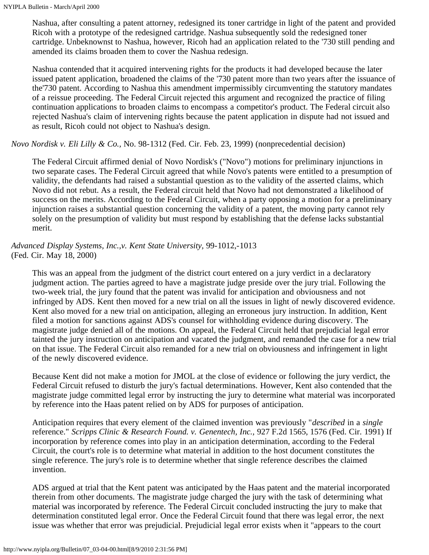Nashua, after consulting a patent attorney, redesigned its toner cartridge in light of the patent and provided Ricoh with a prototype of the redesigned cartridge. Nashua subsequently sold the redesigned toner cartridge. Unbeknownst to Nashua, however, Ricoh had an application related to the '730 still pending and amended its claims broaden them to cover the Nashua redesign.

Nashua contended that it acquired intervening rights for the products it had developed because the later issued patent application, broadened the claims of the '730 patent more than two years after the issuance of the'730 patent. According to Nashua this amendment impermissibly circumventing the statutory mandates of a reissue proceeding. The Federal Circuit rejected this argument and recognized the practice of filing continuation applications to broaden claims to encompass a competitor's product. The Federal circuit also rejected Nashua's claim of intervening rights because the patent application in dispute had not issued and as result, Ricoh could not object to Nashua's design.

## *Novo Nordisk v. Eli Lilly & Co.,* No. 98-1312 (Fed. Cir. Feb. 23, 1999) (nonprecedential decision)

The Federal Circuit affirmed denial of Novo Nordisk's ("Novo") motions for preliminary injunctions in two separate cases. The Federal Circuit agreed that while Novo's patents were entitled to a presumption of validity, the defendants had raised a substantial question as to the validity of the asserted claims, which Novo did not rebut. As a result, the Federal circuit held that Novo had not demonstrated a likelihood of success on the merits. According to the Federal Circuit, when a party opposing a motion for a preliminary injunction raises a substantial question concerning the validity of a patent, the moving party cannot rely solely on the presumption of validity but must respond by establishing that the defense lacks substantial merit.

*Advanced Display Systems, Inc.,v. Kent State University,* 99-1012,-1013 (Fed. Cir. May 18, 2000)

This was an appeal from the judgment of the district court entered on a jury verdict in a declaratory judgment action. The parties agreed to have a magistrate judge preside over the jury trial. Following the two-week trial, the jury found that the patent was invalid for anticipation and obviousness and not infringed by ADS. Kent then moved for a new trial on all the issues in light of newly discovered evidence. Kent also moved for a new trial on anticipation, alleging an erroneous jury instruction. In addition, Kent filed a motion for sanctions against ADS's counsel for withholding evidence during discovery. The magistrate judge denied all of the motions. On appeal, the Federal Circuit held that prejudicial legal error tainted the jury instruction on anticipation and vacated the judgment, and remanded the case for a new trial on that issue. The Federal Circuit also remanded for a new trial on obviousness and infringement in light of the newly discovered evidence.

Because Kent did not make a motion for JMOL at the close of evidence or following the jury verdict, the Federal Circuit refused to disturb the jury's factual determinations. However, Kent also contended that the magistrate judge committed legal error by instructing the jury to determine what material was incorporated by reference into the Haas patent relied on by ADS for purposes of anticipation.

Anticipation requires that every element of the claimed invention was previously "*described* in a *single* reference." *Scripps Clinic & Research Found. v. Genentech, Inc.,* 927 F.2d 1565, 1576 (Fed. Cir. 1991) If incorporation by reference comes into play in an anticipation determination, according to the Federal Circuit, the court's role is to determine what material in addition to the host document constitutes the single reference. The jury's role is to determine whether that single reference describes the claimed invention.

ADS argued at trial that the Kent patent was anticipated by the Haas patent and the material incorporated therein from other documents. The magistrate judge charged the jury with the task of determining what material was incorporated by reference. The Federal Circuit concluded instructing the jury to make that determination constituted legal error. Once the Federal Circuit found that there was legal error, the next issue was whether that error was prejudicial. Prejudicial legal error exists when it "appears to the court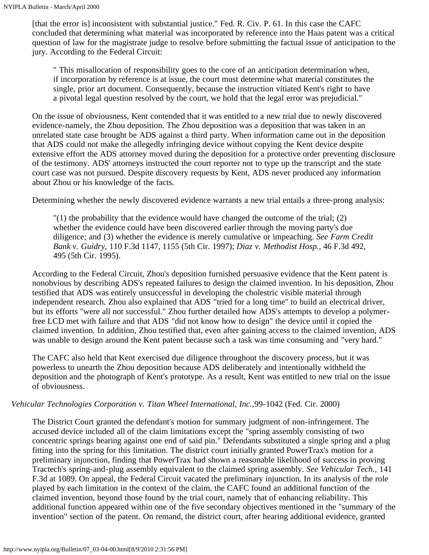[that the error is] inconsistent with substantial justice." Fed. R. Civ. P. 61. In this case the CAFC concluded that determining what material was incorporated by reference into the Haas patent was a critical question of law for the magistrate judge to resolve before submitting the factual issue of anticipation to the jury. According to the Federal Circuit:

" This misallocation of responsibility goes to the core of an anticipation determination when, if incorporation by reference is at issue, the court must determine what material constitutes the single, prior art document. Consequently, because the instruction vitiated Kent's right to have a pivotal legal question resolved by the court, we hold that the legal error was prejudicial."

On the issue of obviousness, Kent contended that it was entitled to a new trial due to newly discovered evidence-namely, the Zhou deposition. The Zhou deposition was a deposition that was taken in an unrelated state case brought be ADS against a third party. When information came out in the deposition that ADS could not make the allegedly infringing device without copying the Kent device despite extensive effort the ADS attorney moved during the deposition for a protective order preventing disclosure of the testimony. ADS' attorneys instructed the court reporter not to type up the transcript and the state court case was not pursued. Despite discovery requests by Kent, ADS never produced any information about Zhou or his knowledge of the facts.

Determining whether the newly discovered evidence warrants a new trial entails a three-prong analysis:

 $\Gamma(1)$  the probability that the evidence would have changed the outcome of the trial; (2) whether the evidence could have been discovered earlier through the moving party's due diligence; and (3) whether the evidence is merely cumulative or impeaching. *See Farm Credit Bank v. Guidry,* 110 F.3d 1147, 1155 (5th Cir. 1997); *Diaz v. Methodist Hosp.,* 46 F.3d 492, 495 (5th Cir. 1995).

According to the Federal Circuit, Zhou's deposition furnished persuasive evidence that the Kent patent is nonobvious by describing ADS's repeated failures to design the claimed invention. In his deposition, Zhou testified that ADS was entirely unsuccessful in developing the cholestric visible material through independent research. Zhou also explained that ADS "tried for a long time" to build an electrical driver, but its efforts "were all not successful." Zhou further detailed how ADS's attempts to develop a polymerfree LCD met with failure and that ADS "did not know how to design" the device until it copied the claimed invention. In addition, Zhou testified that, even after gaining access to the claimed invention, ADS was unable to design around the Kent patent because such a task was time consuming and "very hard."

The CAFC also held that Kent exercised due diligence throughout the discovery process, but it was powerless to unearth the Zhou deposition because ADS deliberately and intentionally withheld the deposition and the photograph of Kent's prototype. As a result, Kent was entitled to new trial on the issue of obviousness.

#### *Vehicular Technologies Corporation v. Titan Wheel International, Inc.,*99-1042 (Fed. Cir. 2000)

The District Court granted the defendant's motion for summary judgment of non-infringement. The accused device included all of the claim limitations except the "spring assembly consisting of two concentric springs bearing against one end of said pin." Defendants substituted a single spring and a plug fitting into the spring for this limitation. The district court initially granted PowerTrax's motion for a preliminary injunction, finding that PowerTrax had shown a reasonable likelihood of success in proving Tractech's spring-and-plug assembly equivalent to the claimed spring assembly. *See Vehicular Tech.,* 141 F.3d at 1089. On appeal, the Federal Circuit vacated the preliminary injunction. In its analysis of the role played by each limitation in the context of the claim, the CAFC found an additional function of the claimed invention, beyond those found by the trial court, namely that of enhancing reliability. This additional function appeared within one of the five secondary objectives mentioned in the "summary of the invention" section of the patent. On remand, the district court, after hearing additional evidence, granted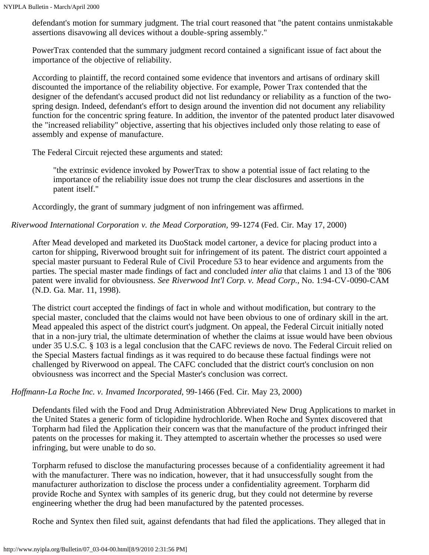defendant's motion for summary judgment. The trial court reasoned that "the patent contains unmistakable assertions disavowing all devices without a double-spring assembly."

PowerTrax contended that the summary judgment record contained a significant issue of fact about the importance of the objective of reliability.

According to plaintiff, the record contained some evidence that inventors and artisans of ordinary skill discounted the importance of the reliability objective. For example, Power Trax contended that the designer of the defendant's accused product did not list redundancy or reliability as a function of the twospring design. Indeed, defendant's effort to design around the invention did not document any reliability function for the concentric spring feature. In addition, the inventor of the patented product later disavowed the "increased reliability" objective, asserting that his objectives included only those relating to ease of assembly and expense of manufacture.

The Federal Circuit rejected these arguments and stated:

"the extrinsic evidence invoked by PowerTrax to show a potential issue of fact relating to the importance of the reliability issue does not trump the clear disclosures and assertions in the patent itself."

Accordingly, the grant of summary judgment of non infringement was affirmed.

*Riverwood International Corporation v. the Mead Corporation,* 99-1274 (Fed. Cir. May 17, 2000)

After Mead developed and marketed its DuoStack model cartoner, a device for placing product into a carton for shipping, Riverwood brought suit for infringement of its patent. The district court appointed a special master pursuant to Federal Rule of Civil Procedure 53 to hear evidence and arguments from the parties. The special master made findings of fact and concluded *inter alia* that claims 1 and 13 of the '806 patent were invalid for obviousness. *See Riverwood Int'l Corp. v. Mead Corp.,* No. 1:94-CV-0090-CAM (N.D. Ga. Mar. 11, 1998).

The district court accepted the findings of fact in whole and without modification, but contrary to the special master, concluded that the claims would not have been obvious to one of ordinary skill in the art. Mead appealed this aspect of the district court's judgment. On appeal, the Federal Circuit initially noted that in a non-jury trial, the ultimate determination of whether the claims at issue would have been obvious under 35 U.S.C. § 103 is a legal conclusion that the CAFC reviews de novo. The Federal Circuit relied on the Special Masters factual findings as it was required to do because these factual findings were not challenged by Riverwood on appeal. The CAFC concluded that the district court's conclusion on non obviousness was incorrect and the Special Master's conclusion was correct.

### *Hoffmann-La Roche Inc. v. Invamed Incorporated,* 99-1466 (Fed. Cir. May 23, 2000)

Defendants filed with the Food and Drug Administration Abbreviated New Drug Applications to market in the United States a generic form of ticlopidine hydrochloride. When Roche and Syntex discovered that Torpharm had filed the Application their concern was that the manufacture of the product infringed their patents on the processes for making it. They attempted to ascertain whether the processes so used were infringing, but were unable to do so.

Torpharm refused to disclose the manufacturing processes because of a confidentiality agreement it had with the manufacturer. There was no indication, however, that it had unsuccessfully sought from the manufacturer authorization to disclose the process under a confidentiality agreement. Torpharm did provide Roche and Syntex with samples of its generic drug, but they could not determine by reverse engineering whether the drug had been manufactured by the patented processes.

Roche and Syntex then filed suit, against defendants that had filed the applications. They alleged that in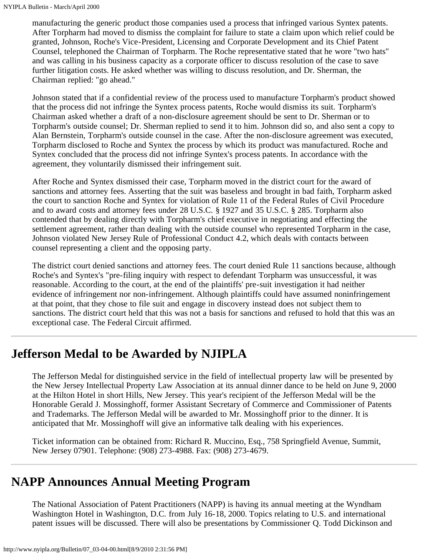manufacturing the generic product those companies used a process that infringed various Syntex patents. After Torpharm had moved to dismiss the complaint for failure to state a claim upon which relief could be granted, Johnson, Roche's Vice-President, Licensing and Corporate Development and its Chief Patent Counsel, telephoned the Chairman of Torpharm. The Roche representative stated that he wore "two hats" and was calling in his business capacity as a corporate officer to discuss resolution of the case to save further litigation costs. He asked whether was willing to discuss resolution, and Dr. Sherman, the Chairman replied: "go ahead."

Johnson stated that if a confidential review of the process used to manufacture Torpharm's product showed that the process did not infringe the Syntex process patents, Roche would dismiss its suit. Torpharm's Chairman asked whether a draft of a non-disclosure agreement should be sent to Dr. Sherman or to Torpharm's outside counsel; Dr. Sherman replied to send it to him. Johnson did so, and also sent a copy to Alan Bernstein, Torpharm's outside counsel in the case. After the non-disclosure agreement was executed, Torpharm disclosed to Roche and Syntex the process by which its product was manufactured. Roche and Syntex concluded that the process did not infringe Syntex's process patents. In accordance with the agreement, they voluntarily dismissed their infringement suit.

After Roche and Syntex dismissed their case, Torpharm moved in the district court for the award of sanctions and attorney fees. Asserting that the suit was baseless and brought in bad faith, Torpharm asked the court to sanction Roche and Syntex for violation of Rule 11 of the Federal Rules of Civil Procedure and to award costs and attorney fees under 28 U.S.C. § 1927 and 35 U.S.C. § 285. Torpharm also contended that by dealing directly with Torpharm's chief executive in negotiating and effecting the settlement agreement, rather than dealing with the outside counsel who represented Torpharm in the case, Johnson violated New Jersey Rule of Professional Conduct 4.2, which deals with contacts between counsel representing a client and the opposing party.

The district court denied sanctions and attorney fees. The court denied Rule 11 sanctions because, although Roche's and Syntex's "pre-filing inquiry with respect to defendant Torpharm was unsuccessful, it was reasonable. According to the court, at the end of the plaintiffs' pre-suit investigation it had neither evidence of infringement nor non-infringement. Although plaintiffs could have assumed noninfringement at that point, that they chose to file suit and engage in discovery instead does not subject them to sanctions. The district court held that this was not a basis for sanctions and refused to hold that this was an exceptional case. The Federal Circuit affirmed.

## <span id="page-6-0"></span>**Jefferson Medal to be Awarded by NJIPLA**

The Jefferson Medal for distinguished service in the field of intellectual property law will be presented by the New Jersey Intellectual Property Law Association at its annual dinner dance to be held on June 9, 2000 at the Hilton Hotel in short Hills, New Jersey. This year's recipient of the Jefferson Medal will be the Honorable Gerald J. Mossinghoff, former Assistant Secretary of Commerce and Commissioner of Patents and Trademarks. The Jefferson Medal will be awarded to Mr. Mossinghoff prior to the dinner. It is anticipated that Mr. Mossinghoff will give an informative talk dealing with his experiences.

Ticket information can be obtained from: Richard R. Muccino, Esq., 758 Springfield Avenue, Summit, New Jersey 07901. Telephone: (908) 273-4988. Fax: (908) 273-4679.

# <span id="page-6-1"></span>**NAPP Announces Annual Meeting Program**

The National Association of Patent Practitioners (NAPP) is having its annual meeting at the Wyndham Washington Hotel in Washington, D.C. from July 16-18, 2000. Topics relating to U.S. and international patent issues will be discussed. There will also be presentations by Commissioner Q. Todd Dickinson and